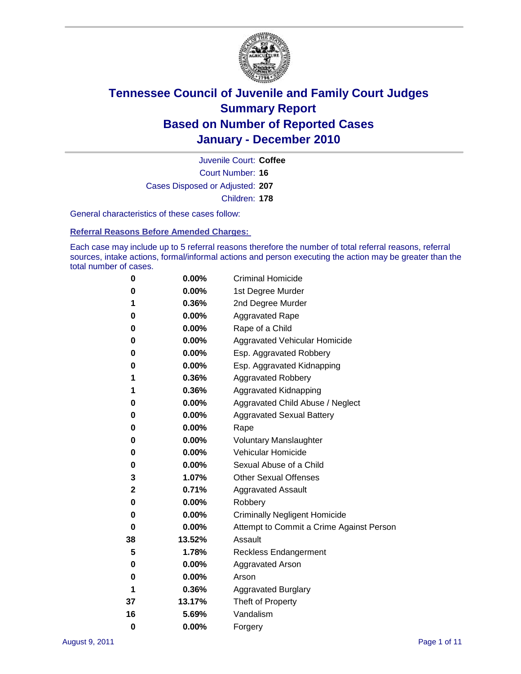

Court Number: **16** Juvenile Court: **Coffee** Cases Disposed or Adjusted: **207** Children: **178**

General characteristics of these cases follow:

**Referral Reasons Before Amended Charges:** 

Each case may include up to 5 referral reasons therefore the number of total referral reasons, referral sources, intake actions, formal/informal actions and person executing the action may be greater than the total number of cases.

| 0  | 0.00%  | <b>Criminal Homicide</b>                 |
|----|--------|------------------------------------------|
| 0  | 0.00%  | 1st Degree Murder                        |
| 1  | 0.36%  | 2nd Degree Murder                        |
| 0  | 0.00%  | <b>Aggravated Rape</b>                   |
| 0  | 0.00%  | Rape of a Child                          |
| 0  | 0.00%  | Aggravated Vehicular Homicide            |
| 0  | 0.00%  | Esp. Aggravated Robbery                  |
| 0  | 0.00%  | Esp. Aggravated Kidnapping               |
| 1  | 0.36%  | <b>Aggravated Robbery</b>                |
| 1  | 0.36%  | Aggravated Kidnapping                    |
| 0  | 0.00%  | Aggravated Child Abuse / Neglect         |
| 0  | 0.00%  | <b>Aggravated Sexual Battery</b>         |
| 0  | 0.00%  | Rape                                     |
| 0  | 0.00%  | <b>Voluntary Manslaughter</b>            |
| 0  | 0.00%  | Vehicular Homicide                       |
| 0  | 0.00%  | Sexual Abuse of a Child                  |
| 3  | 1.07%  | <b>Other Sexual Offenses</b>             |
| 2  | 0.71%  | <b>Aggravated Assault</b>                |
| 0  | 0.00%  | Robbery                                  |
| 0  | 0.00%  | <b>Criminally Negligent Homicide</b>     |
| 0  | 0.00%  | Attempt to Commit a Crime Against Person |
| 38 | 13.52% | Assault                                  |
| 5  | 1.78%  | <b>Reckless Endangerment</b>             |
| 0  | 0.00%  | <b>Aggravated Arson</b>                  |
| 0  | 0.00%  | Arson                                    |
| 1  | 0.36%  | <b>Aggravated Burglary</b>               |
| 37 | 13.17% | Theft of Property                        |
| 16 | 5.69%  | Vandalism                                |
| 0  | 0.00%  | Forgery                                  |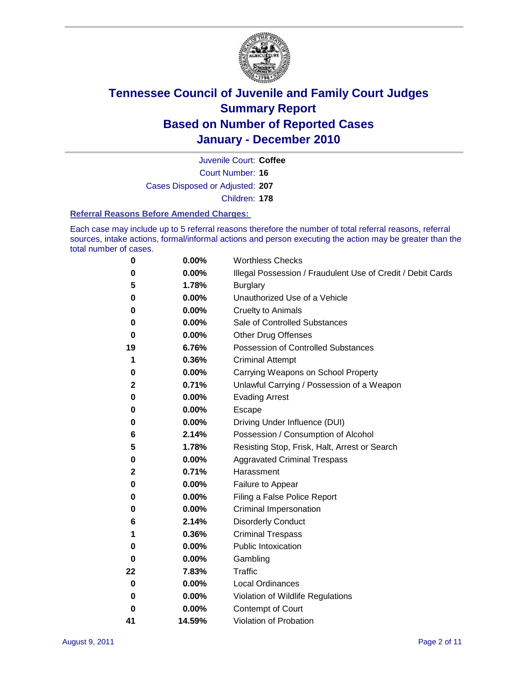

Court Number: **16** Juvenile Court: **Coffee** Cases Disposed or Adjusted: **207** Children: **178**

#### **Referral Reasons Before Amended Charges:**

Each case may include up to 5 referral reasons therefore the number of total referral reasons, referral sources, intake actions, formal/informal actions and person executing the action may be greater than the total number of cases.

| 0            | 0.00%  | <b>Worthless Checks</b>                                     |
|--------------|--------|-------------------------------------------------------------|
| 0            | 0.00%  | Illegal Possession / Fraudulent Use of Credit / Debit Cards |
| 5            | 1.78%  | <b>Burglary</b>                                             |
| 0            | 0.00%  | Unauthorized Use of a Vehicle                               |
| 0            | 0.00%  | <b>Cruelty to Animals</b>                                   |
| 0            | 0.00%  | Sale of Controlled Substances                               |
| 0            | 0.00%  | <b>Other Drug Offenses</b>                                  |
| 19           | 6.76%  | Possession of Controlled Substances                         |
| 1            | 0.36%  | <b>Criminal Attempt</b>                                     |
| 0            | 0.00%  | Carrying Weapons on School Property                         |
| $\mathbf{2}$ | 0.71%  | Unlawful Carrying / Possession of a Weapon                  |
| 0            | 0.00%  | <b>Evading Arrest</b>                                       |
| 0            | 0.00%  | Escape                                                      |
| 0            | 0.00%  | Driving Under Influence (DUI)                               |
| 6            | 2.14%  | Possession / Consumption of Alcohol                         |
| 5            | 1.78%  | Resisting Stop, Frisk, Halt, Arrest or Search               |
| 0            | 0.00%  | <b>Aggravated Criminal Trespass</b>                         |
| 2            | 0.71%  | Harassment                                                  |
| 0            | 0.00%  | Failure to Appear                                           |
| 0            | 0.00%  | Filing a False Police Report                                |
| 0            | 0.00%  | Criminal Impersonation                                      |
| 6            | 2.14%  | <b>Disorderly Conduct</b>                                   |
| 1            | 0.36%  | <b>Criminal Trespass</b>                                    |
| 0            | 0.00%  | <b>Public Intoxication</b>                                  |
| 0            | 0.00%  | Gambling                                                    |
| 22           | 7.83%  | Traffic                                                     |
| 0            | 0.00%  | <b>Local Ordinances</b>                                     |
| 0            | 0.00%  | Violation of Wildlife Regulations                           |
| 0            | 0.00%  | Contempt of Court                                           |
| 41           | 14.59% | Violation of Probation                                      |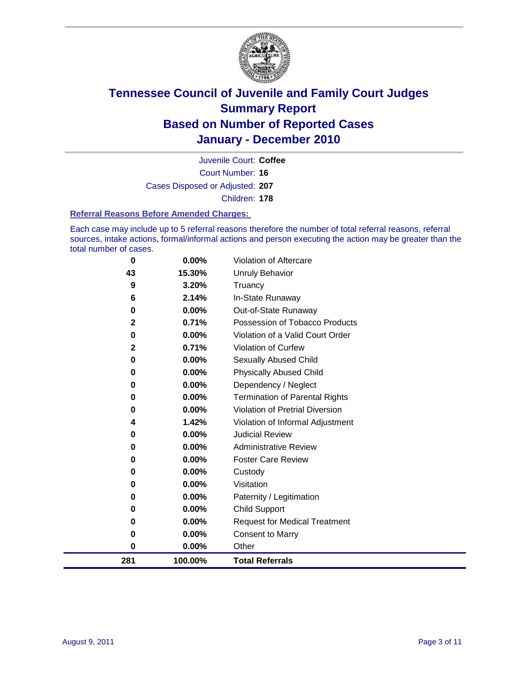

Court Number: **16** Juvenile Court: **Coffee** Cases Disposed or Adjusted: **207** Children: **178**

#### **Referral Reasons Before Amended Charges:**

Each case may include up to 5 referral reasons therefore the number of total referral reasons, referral sources, intake actions, formal/informal actions and person executing the action may be greater than the total number of cases.

| 281         | 100.00%  | <b>Total Referrals</b>                 |
|-------------|----------|----------------------------------------|
| $\bf{0}$    | 0.00%    | Other                                  |
| 0           | 0.00%    | <b>Consent to Marry</b>                |
| 0           | 0.00%    | <b>Request for Medical Treatment</b>   |
| 0           | 0.00%    | <b>Child Support</b>                   |
| 0           | 0.00%    | Paternity / Legitimation               |
| 0           | 0.00%    | Visitation                             |
| 0           | 0.00%    | Custody                                |
| 0           | 0.00%    | <b>Foster Care Review</b>              |
| 0           | $0.00\%$ | <b>Administrative Review</b>           |
| 0           | 0.00%    | <b>Judicial Review</b>                 |
| 4           | 1.42%    | Violation of Informal Adjustment       |
| 0           | $0.00\%$ | <b>Violation of Pretrial Diversion</b> |
| 0           | 0.00%    | Termination of Parental Rights         |
| 0           | 0.00%    | Dependency / Neglect                   |
| 0           | 0.00%    | <b>Physically Abused Child</b>         |
| 0           | 0.00%    | Sexually Abused Child                  |
| 2           | 0.71%    | Violation of Curfew                    |
| 0           | 0.00%    | Violation of a Valid Court Order       |
| $\mathbf 2$ | 0.71%    | Possession of Tobacco Products         |
| 0           | 0.00%    | Out-of-State Runaway                   |
| 6           | 2.14%    | In-State Runaway                       |
| 9           | 3.20%    | Truancy                                |
| 43          | 15.30%   | <b>Unruly Behavior</b>                 |
| 0           | 0.00%    | <b>Violation of Aftercare</b>          |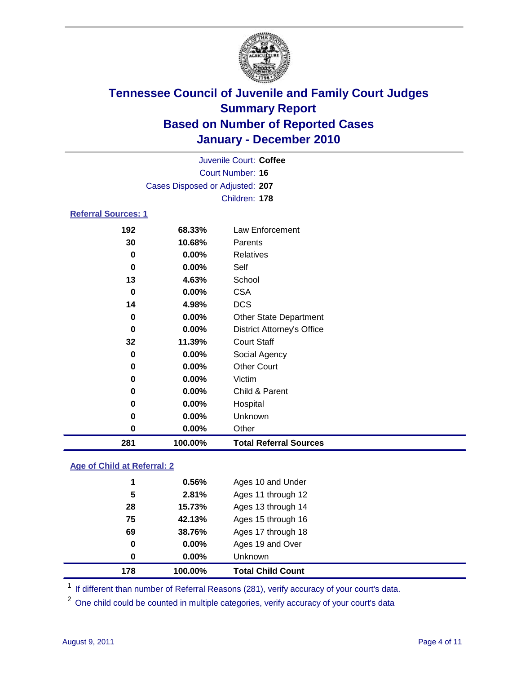

|                            |                                 | Juvenile Court: Coffee            |
|----------------------------|---------------------------------|-----------------------------------|
|                            |                                 | <b>Court Number: 16</b>           |
|                            | Cases Disposed or Adjusted: 207 |                                   |
|                            |                                 | Children: 178                     |
| <b>Referral Sources: 1</b> |                                 |                                   |
| 192                        | 68.33%                          | Law Enforcement                   |
| 30                         | 10.68%                          | Parents                           |
| 0                          | 0.00%                           | <b>Relatives</b>                  |
| 0                          | 0.00%                           | Self                              |
| 13                         | 4.63%                           | School                            |
| 0                          | 0.00%                           | <b>CSA</b>                        |
| 14                         | 4.98%                           | <b>DCS</b>                        |
| 0                          | 0.00%                           | <b>Other State Department</b>     |
| 0                          | 0.00%                           | <b>District Attorney's Office</b> |
| 32                         | 11.39%                          | <b>Court Staff</b>                |
| 0                          | 0.00%                           | Social Agency                     |
| 0                          | 0.00%                           | <b>Other Court</b>                |
| 0                          | 0.00%                           | Victim                            |
| 0                          | 0.00%                           | Child & Parent                    |
| 0                          | 0.00%                           | Hospital                          |
| 0                          | 0.00%                           | Unknown                           |
| 0                          | 0.00%                           | Other                             |
| 281                        | 100.00%                         | <b>Total Referral Sources</b>     |

### **Age of Child at Referral: 2**

| 178 | 100.00%  | <b>Total Child Count</b> |
|-----|----------|--------------------------|
| 0   | $0.00\%$ | <b>Unknown</b>           |
| 0   | 0.00%    | Ages 19 and Over         |
| 69  | 38.76%   | Ages 17 through 18       |
| 75  | 42.13%   | Ages 15 through 16       |
| 28  | 15.73%   | Ages 13 through 14       |
| 5   | 2.81%    | Ages 11 through 12       |
| 1   | 0.56%    | Ages 10 and Under        |
|     |          |                          |

<sup>1</sup> If different than number of Referral Reasons (281), verify accuracy of your court's data.

<sup>2</sup> One child could be counted in multiple categories, verify accuracy of your court's data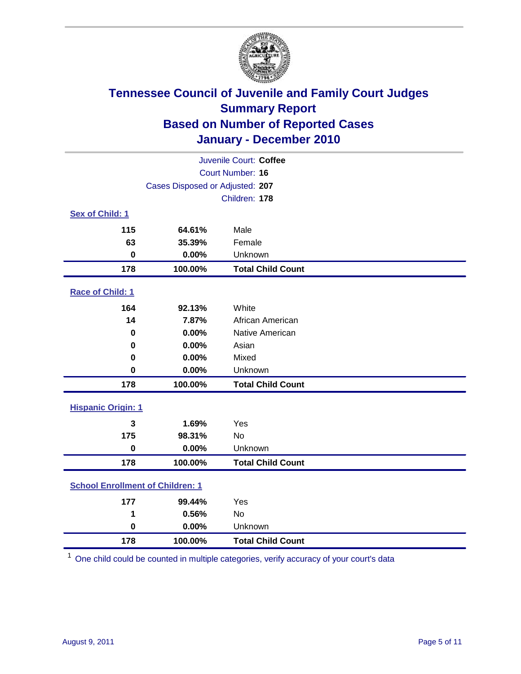

| Juvenile Court: Coffee                  |                                 |                          |  |  |  |
|-----------------------------------------|---------------------------------|--------------------------|--|--|--|
| <b>Court Number: 16</b>                 |                                 |                          |  |  |  |
|                                         | Cases Disposed or Adjusted: 207 |                          |  |  |  |
|                                         |                                 | Children: 178            |  |  |  |
| Sex of Child: 1                         |                                 |                          |  |  |  |
| 115                                     | 64.61%                          | Male                     |  |  |  |
| 63                                      | 35.39%                          | Female                   |  |  |  |
| $\mathbf 0$                             | 0.00%                           | Unknown                  |  |  |  |
| 178                                     | 100.00%                         | <b>Total Child Count</b> |  |  |  |
| Race of Child: 1                        |                                 |                          |  |  |  |
| 164                                     | 92.13%                          | White                    |  |  |  |
| 14                                      | 7.87%                           | African American         |  |  |  |
| 0                                       | 0.00%                           | Native American          |  |  |  |
| 0                                       | 0.00%                           | Asian                    |  |  |  |
| 0                                       | 0.00%                           | Mixed                    |  |  |  |
| $\mathbf 0$                             | 0.00%                           | Unknown                  |  |  |  |
| 178                                     | 100.00%                         | <b>Total Child Count</b> |  |  |  |
| <b>Hispanic Origin: 1</b>               |                                 |                          |  |  |  |
| 3                                       | 1.69%                           | Yes                      |  |  |  |
| 175                                     | 98.31%                          | <b>No</b>                |  |  |  |
| $\bf{0}$                                | 0.00%                           | Unknown                  |  |  |  |
| 178                                     | 100.00%                         | <b>Total Child Count</b> |  |  |  |
| <b>School Enrollment of Children: 1</b> |                                 |                          |  |  |  |
| 177                                     | 99.44%                          | Yes                      |  |  |  |
| 1                                       | 0.56%                           | No                       |  |  |  |
| $\mathbf 0$                             | 0.00%                           | Unknown                  |  |  |  |
| 178                                     | 100.00%                         | <b>Total Child Count</b> |  |  |  |

One child could be counted in multiple categories, verify accuracy of your court's data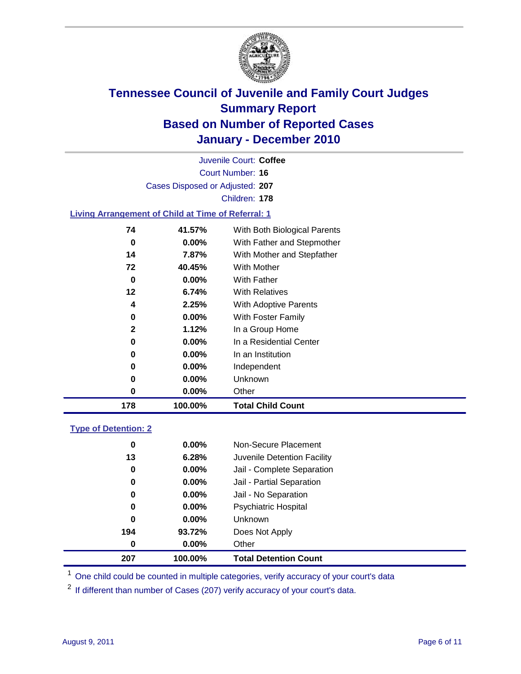

Court Number: **16** Juvenile Court: **Coffee** Cases Disposed or Adjusted: **207** Children: **178**

### **Living Arrangement of Child at Time of Referral: 1**

| 178 | 100.00%  | <b>Total Child Count</b>     |
|-----|----------|------------------------------|
| 0   | 0.00%    | Other                        |
| 0   | 0.00%    | Unknown                      |
| 0   | $0.00\%$ | Independent                  |
| 0   | 0.00%    | In an Institution            |
| 0   | $0.00\%$ | In a Residential Center      |
| 2   | 1.12%    | In a Group Home              |
| 0   | $0.00\%$ | With Foster Family           |
| 4   | 2.25%    | <b>With Adoptive Parents</b> |
| 12  | 6.74%    | <b>With Relatives</b>        |
| 0   | 0.00%    | With Father                  |
| 72  | 40.45%   | With Mother                  |
| 14  | 7.87%    | With Mother and Stepfather   |
| 0   | $0.00\%$ | With Father and Stepmother   |
| 74  | 41.57%   | With Both Biological Parents |
|     |          |                              |

### **Type of Detention: 2**

| 207              | 100.00%  | <b>Total Detention Count</b> |  |
|------------------|----------|------------------------------|--|
| $\boldsymbol{0}$ | 0.00%    | Other                        |  |
| 194              | 93.72%   | Does Not Apply               |  |
| $\bf{0}$         | $0.00\%$ | Unknown                      |  |
| 0                | $0.00\%$ | Psychiatric Hospital         |  |
| 0                | 0.00%    | Jail - No Separation         |  |
| 0                | $0.00\%$ | Jail - Partial Separation    |  |
| 0                | $0.00\%$ | Jail - Complete Separation   |  |
| 13               | 6.28%    | Juvenile Detention Facility  |  |
| 0                | $0.00\%$ | Non-Secure Placement         |  |
|                  |          |                              |  |

<sup>1</sup> One child could be counted in multiple categories, verify accuracy of your court's data

<sup>2</sup> If different than number of Cases (207) verify accuracy of your court's data.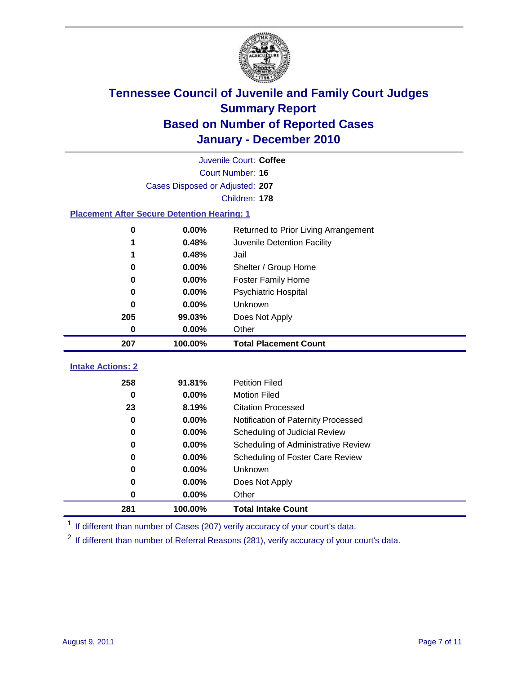

|                                                    | Juvenile Court: Coffee          |                                      |  |  |  |
|----------------------------------------------------|---------------------------------|--------------------------------------|--|--|--|
|                                                    | Court Number: 16                |                                      |  |  |  |
|                                                    | Cases Disposed or Adjusted: 207 |                                      |  |  |  |
|                                                    | Children: 178                   |                                      |  |  |  |
| <b>Placement After Secure Detention Hearing: 1</b> |                                 |                                      |  |  |  |
| 0                                                  | 0.00%                           | Returned to Prior Living Arrangement |  |  |  |
| 1                                                  | 0.48%                           | Juvenile Detention Facility          |  |  |  |
|                                                    | 0.48%                           | Jail                                 |  |  |  |
| 0                                                  | 0.00%                           | Shelter / Group Home                 |  |  |  |
| 0                                                  | 0.00%                           | <b>Foster Family Home</b>            |  |  |  |
| 0                                                  | 0.00%                           | <b>Psychiatric Hospital</b>          |  |  |  |
| 0                                                  | 0.00%                           | Unknown                              |  |  |  |
| 205                                                | 99.03%                          | Does Not Apply                       |  |  |  |
| 0                                                  | 0.00%                           | Other                                |  |  |  |
| 207                                                | 100.00%                         | <b>Total Placement Count</b>         |  |  |  |
| <b>Intake Actions: 2</b>                           |                                 |                                      |  |  |  |
|                                                    |                                 |                                      |  |  |  |
| 258                                                | 91.81%                          | <b>Petition Filed</b>                |  |  |  |
| $\bf{0}$                                           | 0.00%                           | <b>Motion Filed</b>                  |  |  |  |
| 23                                                 | 8.19%                           | <b>Citation Processed</b>            |  |  |  |
| 0                                                  | 0.00%                           | Notification of Paternity Processed  |  |  |  |
| 0                                                  | 0.00%                           | Scheduling of Judicial Review        |  |  |  |
| $\bf{0}$                                           | 0.00%                           | Scheduling of Administrative Review  |  |  |  |
| 0                                                  | 0.00%                           | Scheduling of Foster Care Review     |  |  |  |
| $\bf{0}$                                           | 0.00%                           | Unknown                              |  |  |  |
| 0                                                  | 0.00%                           | Does Not Apply                       |  |  |  |
| 0                                                  | 0.00%                           | Other                                |  |  |  |
| 281                                                | 100.00%                         | <b>Total Intake Count</b>            |  |  |  |

<sup>1</sup> If different than number of Cases (207) verify accuracy of your court's data.

<sup>2</sup> If different than number of Referral Reasons (281), verify accuracy of your court's data.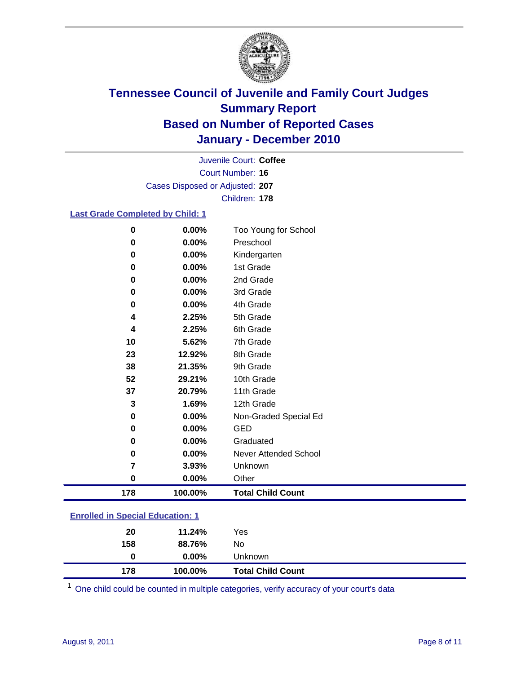

Court Number: **16** Juvenile Court: **Coffee** Cases Disposed or Adjusted: **207** Children: **178**

### **Last Grade Completed by Child: 1**

| $\bf{0}$                                | 0.00%    | Too Young for School         |  |
|-----------------------------------------|----------|------------------------------|--|
| $\bf{0}$                                | 0.00%    | Preschool                    |  |
| 0                                       | 0.00%    | Kindergarten                 |  |
| 0                                       | 0.00%    | 1st Grade                    |  |
| 0                                       | 0.00%    | 2nd Grade                    |  |
| 0                                       | $0.00\%$ | 3rd Grade                    |  |
| 0                                       | 0.00%    | 4th Grade                    |  |
| 4                                       | 2.25%    | 5th Grade                    |  |
| 4                                       | 2.25%    | 6th Grade                    |  |
| 10                                      | 5.62%    | 7th Grade                    |  |
| 23                                      | 12.92%   | 8th Grade                    |  |
| 38                                      | 21.35%   | 9th Grade                    |  |
| 52                                      | 29.21%   | 10th Grade                   |  |
| 37                                      | 20.79%   | 11th Grade                   |  |
| 3                                       | 1.69%    | 12th Grade                   |  |
| 0                                       | 0.00%    | Non-Graded Special Ed        |  |
| $\bf{0}$                                | 0.00%    | <b>GED</b>                   |  |
| 0                                       | 0.00%    | Graduated                    |  |
| 0                                       | 0.00%    | <b>Never Attended School</b> |  |
| 7                                       | 3.93%    | Unknown                      |  |
| 0                                       | 0.00%    | Other                        |  |
| 178                                     | 100.00%  | <b>Total Child Count</b>     |  |
| <b>Enrolled in Special Education: 1</b> |          |                              |  |

| 178                                   | 100.00%  | <b>Total Child Count</b> |  |  |
|---------------------------------------|----------|--------------------------|--|--|
| 0                                     | $0.00\%$ | Unknown                  |  |  |
| 158                                   | 88.76%   | No                       |  |  |
| 20                                    | 11.24%   | Yes                      |  |  |
| $\mathbf{r}$ only a  opposite example |          |                          |  |  |

One child could be counted in multiple categories, verify accuracy of your court's data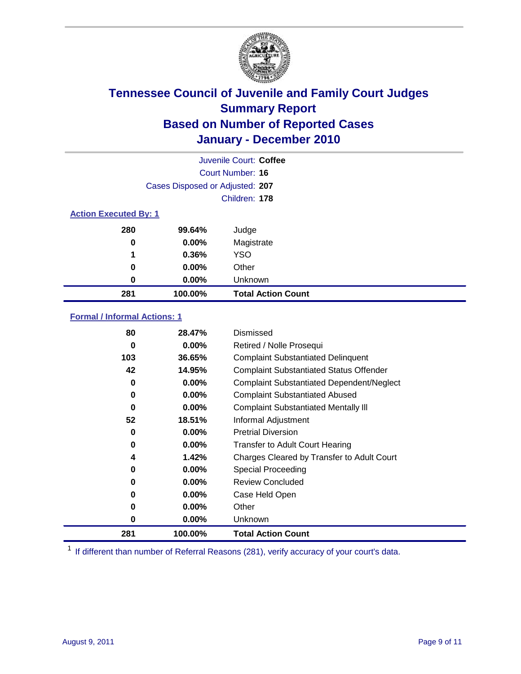

|                              | Juvenile Court: Coffee          |                           |  |  |
|------------------------------|---------------------------------|---------------------------|--|--|
| Court Number: 16             |                                 |                           |  |  |
|                              | Cases Disposed or Adjusted: 207 |                           |  |  |
|                              | Children: 178                   |                           |  |  |
| <b>Action Executed By: 1</b> |                                 |                           |  |  |
| 280                          | 99.64%                          | Judge                     |  |  |
| 0                            | $0.00\%$                        | Magistrate                |  |  |
| 1                            | 0.36%                           | <b>YSO</b>                |  |  |
| 0                            | $0.00\%$                        | Other                     |  |  |
| 0                            | $0.00\%$                        | Unknown                   |  |  |
| 281                          | 100.00%                         | <b>Total Action Count</b> |  |  |

### **Formal / Informal Actions: 1**

| 80  | 28.47%   | Dismissed                                        |
|-----|----------|--------------------------------------------------|
| 0   | $0.00\%$ | Retired / Nolle Prosequi                         |
| 103 | 36.65%   | <b>Complaint Substantiated Delinquent</b>        |
| 42  | 14.95%   | <b>Complaint Substantiated Status Offender</b>   |
| 0   | $0.00\%$ | <b>Complaint Substantiated Dependent/Neglect</b> |
| 0   | $0.00\%$ | <b>Complaint Substantiated Abused</b>            |
| 0   | $0.00\%$ | <b>Complaint Substantiated Mentally III</b>      |
| 52  | 18.51%   | Informal Adjustment                              |
| 0   | $0.00\%$ | <b>Pretrial Diversion</b>                        |
| 0   | $0.00\%$ | <b>Transfer to Adult Court Hearing</b>           |
| 4   | 1.42%    | Charges Cleared by Transfer to Adult Court       |
| 0   | $0.00\%$ | <b>Special Proceeding</b>                        |
| 0   | $0.00\%$ | <b>Review Concluded</b>                          |
| 0   | $0.00\%$ | Case Held Open                                   |
| 0   | $0.00\%$ | Other                                            |
| 0   | $0.00\%$ | <b>Unknown</b>                                   |
| 281 | 100.00%  | <b>Total Action Count</b>                        |

<sup>1</sup> If different than number of Referral Reasons (281), verify accuracy of your court's data.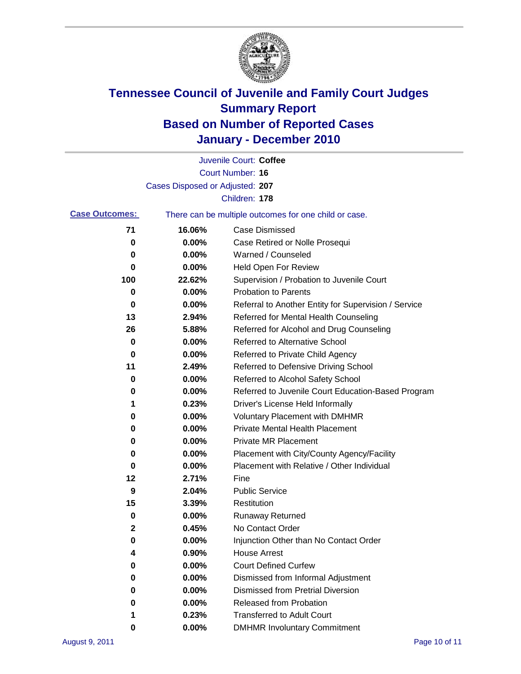

|                       |                                 | Juvenile Court: Coffee                                |
|-----------------------|---------------------------------|-------------------------------------------------------|
|                       |                                 | Court Number: 16                                      |
|                       | Cases Disposed or Adjusted: 207 |                                                       |
|                       |                                 | Children: 178                                         |
| <b>Case Outcomes:</b> |                                 | There can be multiple outcomes for one child or case. |
| 71                    | 16.06%                          | <b>Case Dismissed</b>                                 |
| 0                     | 0.00%                           | Case Retired or Nolle Prosequi                        |
| 0                     | 0.00%                           | Warned / Counseled                                    |
| 0                     | 0.00%                           | <b>Held Open For Review</b>                           |
| 100                   | 22.62%                          | Supervision / Probation to Juvenile Court             |
| 0                     | 0.00%                           | <b>Probation to Parents</b>                           |
| 0                     | 0.00%                           | Referral to Another Entity for Supervision / Service  |
| 13                    | 2.94%                           | Referred for Mental Health Counseling                 |
| 26                    | 5.88%                           | Referred for Alcohol and Drug Counseling              |
| 0                     | 0.00%                           | <b>Referred to Alternative School</b>                 |
| 0                     | 0.00%                           | Referred to Private Child Agency                      |
| 11                    | 2.49%                           | Referred to Defensive Driving School                  |
| 0                     | 0.00%                           | Referred to Alcohol Safety School                     |
| 0                     | 0.00%                           | Referred to Juvenile Court Education-Based Program    |
| 1                     | 0.23%                           | Driver's License Held Informally                      |
| 0                     | 0.00%                           | <b>Voluntary Placement with DMHMR</b>                 |
| 0                     | 0.00%                           | <b>Private Mental Health Placement</b>                |
| 0                     | 0.00%                           | <b>Private MR Placement</b>                           |
| 0                     | 0.00%                           | Placement with City/County Agency/Facility            |
| 0                     | 0.00%                           | Placement with Relative / Other Individual            |
| 12                    | 2.71%                           | Fine                                                  |
| 9                     | 2.04%                           | <b>Public Service</b>                                 |
| 15                    | 3.39%                           | Restitution                                           |
| 0                     | 0.00%                           | <b>Runaway Returned</b>                               |
| 2                     | 0.45%                           | No Contact Order                                      |
| 0                     | 0.00%                           | Injunction Other than No Contact Order                |
| 4                     | 0.90%                           | <b>House Arrest</b>                                   |
| 0                     | 0.00%                           | <b>Court Defined Curfew</b>                           |
| 0                     | 0.00%                           | Dismissed from Informal Adjustment                    |
| 0                     | 0.00%                           | <b>Dismissed from Pretrial Diversion</b>              |
| 0                     | 0.00%                           | Released from Probation                               |
| 1                     | 0.23%                           | <b>Transferred to Adult Court</b>                     |
| 0                     | $0.00\%$                        | <b>DMHMR Involuntary Commitment</b>                   |